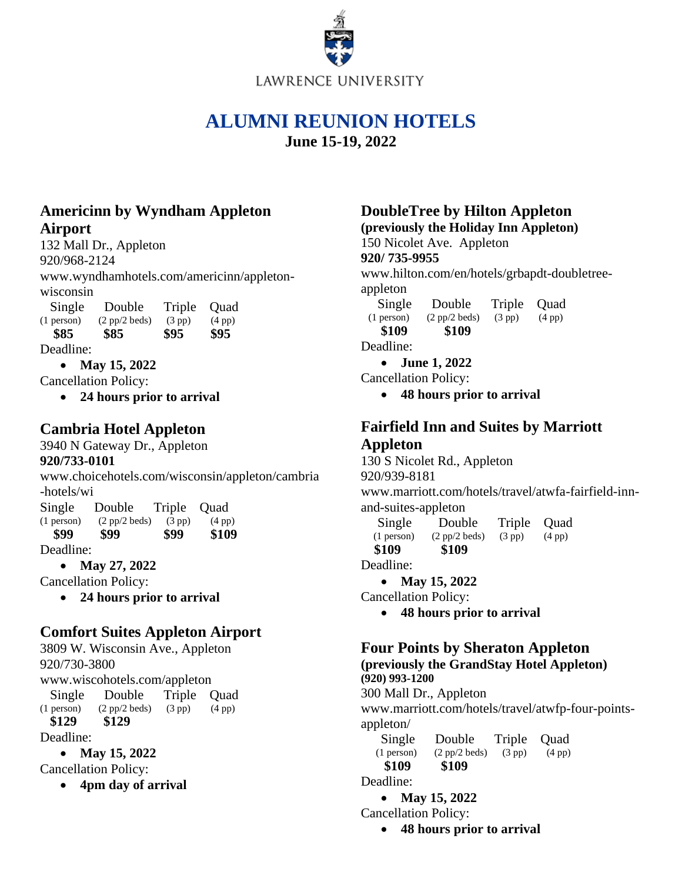

# **ALUMNI REUNION HOTELS**

**June 15-19, 2022**

# **Americinn by Wyndham Appleton Airport**

132 Mall Dr., Appleton 920/968-2124 www.wyndhamhotels.com/americinn/appletonwisconsin Single Double Triple Quad

 $(1 \text{ person})$   $(2 \text{ pp}/2 \text{ beds})$   $(3 \text{ pp})$   $(4 \text{ pp})$  **\$85 \$85 \$95 \$95** Deadline:

• **May 15, 2022**

Cancellation Policy:

• **24 hours prior to arrival**

# **Cambria Hotel Appleton**

3940 N Gateway Dr., Appleton **920/733-0101**

www.choicehotels.com/wisconsin/appleton/cambria -hotels/wi Single Double Triple Quad (1 person) (2 pp/2 beds) (3 pp) (4 pp)

 **\$99 \$99 \$99 \$109** 

Deadline:

• **May 27, 2022**

Cancellation Policy:

• **24 hours prior to arrival**

# **Comfort Suites Appleton Airport**

3809 W. Wisconsin Ave., Appleton 920/730-3800 [www.wiscohotels.com/appleton](http://www.wiscohotels.com/appleton) Single Double Triple Quad  $(1 \text{ person})$   $(2 \text{ pp}/2 \text{ beds})$   $(3 \text{ pp})$   $(4 \text{ pp})$  **\$129 \$129** Deadline:

• **May 15, 2022**

Cancellation Policy:

• **4pm day of arrival**

# **DoubleTree by Hilton Appleton (previously the Holiday Inn Appleton)**

150 Nicolet Ave. Appleton **920/ 735-9955** www.hilton.com/en/hotels/grbapdt-doubletreeappleton

 Single Double Triple Quad (1 person) (2 pp/2 beds) (3 pp) (4 pp)

 **\$109 \$109**

Deadline:

• **June 1, 2022**

Cancellation Policy:

• **48 hours prior to arrival**

# **Fairfield Inn and Suites by Marriott Appleton**

130 S Nicolet Rd., Appleton 920/939-8181

www.marriott.com/hotels/travel/atwfa-fairfield-innand-suites-appleton

 Single Double Triple Quad (1 person) (2 pp/2 beds) (3 pp) (4 pp)  **\$109 \$109**

Deadline:

• **May 15, 2022**

Cancellation Policy:

• **48 hours prior to arrival**

#### **Four Points by Sheraton Appleton (previously the GrandStay Hotel Appleton) (920) 993-1200**

300 Mall Dr., Appleton

[www.marriott.com/hotels/travel/atwfp-four-points](http://www.marriott.com/hotels/travel/atwfp-four-points-appleton/)[appleton/](http://www.marriott.com/hotels/travel/atwfp-four-points-appleton/)

 Single Double Triple Quad (1 person) (2 pp/2 beds) (3 pp) (4 pp)  **\$109 \$109**

Deadline:

• **May 15, 2022**

Cancellation Policy:

• **48 hours prior to arrival**